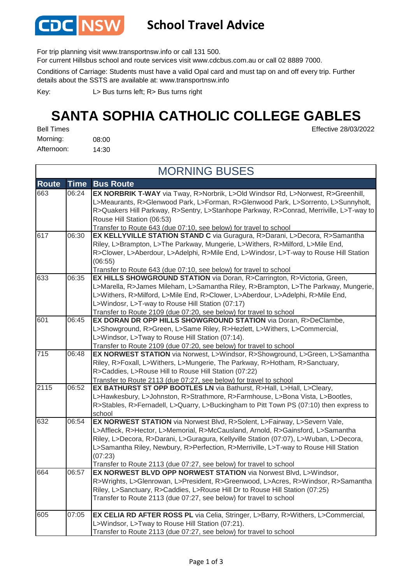

#### **School Travel Advice**

For trip planning visit www.transportnsw.info or call 131 500.

For current Hillsbus school and route services visit www.cdcbus.com.au or call 02 8889 7000.

Conditions of Carriage: Students must have a valid Opal card and must tap on and off every trip. Further details about the SSTS are available at: www.transportnsw.info

L> Bus turns left; R> Bus turns right Key:

### **SANTA SOPHIA CATHOLIC COLLEGE GABLES**

Effective 28/03/2022

08:00 14:30 Afternoon: Bell Times Morning:

| <b>MORNING BUSES</b> |             |                                                                                                                                                                                                                                                                                                                                                                                                                              |  |  |
|----------------------|-------------|------------------------------------------------------------------------------------------------------------------------------------------------------------------------------------------------------------------------------------------------------------------------------------------------------------------------------------------------------------------------------------------------------------------------------|--|--|
| <b>Route</b>         | <b>Time</b> | <b>Bus Route</b>                                                                                                                                                                                                                                                                                                                                                                                                             |  |  |
| 663                  | 06:24       | EX NORBRIK T-WAY via Tway, R>Norbrik, L>Old Windsor Rd, L>Norwest, R>Greenhill,<br>L>Meaurants, R>Glenwood Park, L>Forman, R>Glenwood Park, L>Sorrento, L>Sunnyholt,<br>R>Quakers Hill Parkway, R>Sentry, L>Stanhope Parkway, R>Conrad, Merriville, L>T-way to<br>Rouse Hill Station (06:53)<br>Transfer to Route 643 (due 07:10, see below) for travel to school                                                            |  |  |
| 617                  | 06:30       | EX KELLYVILLE STATION STAND C via Guragura, R>Darani, L>Decora, R>Samantha<br>Riley, L>Brampton, L>The Parkway, Mungerie, L>Withers, R>Milford, L>Mile End,<br>R>Clower, L>Aberdour, L>Adelphi, R>Mile End, L>Windosr, L>T-way to Rouse Hill Station<br>(06:55)<br>Transfer to Route 643 (due 07:10, see below) for travel to school                                                                                         |  |  |
| 633                  | 06:35       | EX HILLS SHOWGROUND STATION via Doran, R>Carrington, R>Victoria, Green,<br>L>Marella, R>James Mileham, L>Samantha Riley, R>Brampton, L>The Parkway, Mungerie,<br>L>Withers, R>Milford, L>Mile End, R>Clower, L>Aberdour, L>Adelphi, R>Mile End,<br>L>Windosr, L>T-way to Rouse Hill Station (07:17)<br>Transfer to Route 2109 (due 07:20, see below) for travel to school                                                    |  |  |
| 601                  | 06:45       | EX DORAN DR OPP HILLS SHOWGROUND STATION via Doran, R>DeClambe,<br>L>Showground, R>Green, L>Same Riley, R>Hezlett, L>Withers, L>Commercial,<br>L>Windsor, L>Tway to Rouse Hill Station (07:14).<br>Transfer to Route 2109 (due 07:20, see below) for travel to school                                                                                                                                                        |  |  |
| 715                  | 06:48       | EX NORWEST STATION via Norwest, L>Windsor, R>Showground, L>Green, L>Samantha<br>Riley, R>Foxall, L>Withers, L>Mungerie, The Parkway, R>Hotham, R>Sanctuary,<br>R>Caddies, L>Rouse Hill to Rouse Hill Station (07:22)<br>Transfer to Route 2113 (due 07:27, see below) for travel to school                                                                                                                                   |  |  |
| 2115                 | 06:52       | EX BATHURST ST OPP BOOTLES LN via Bathurst, R>Hall, L>Hall, L>Cleary,<br>L>Hawkesbury, L>Johnston, R>Strathmore, R>Farmhouse, L>Bona Vista, L>Bootles,<br>R>Stables, R>Fernadell, L>Quarry, L>Buckingham to Pitt Town PS (07:10) then express to<br>school                                                                                                                                                                   |  |  |
| 632                  | 06:54       | EX NORWEST STATION via Norwest Blvd, R>Solent, L>Fairway, L>Severn Vale,<br>L>Affleck, R>Hector, L>Memorial, R>McCausland, Arnold, R>Gainsford, L>Samantha<br>Riley, L>Decora, R>Darani, L>Guragura, Kellyville Station (07:07), L>Wuban, L>Decora,<br>L>Samantha Riley, Newbury, R>Perfection, R>Merriville, L>T-way to Rouse Hill Station<br>(07:23)<br>Transfer to Route 2113 (due 07:27, see below) for travel to school |  |  |
| 664                  | 06:57       | EX NORWEST BLVD OPP NORWEST STATION via Norwest Blvd, L>Windsor,<br>R>Wrights, L>Glenrowan, L>President, R>Greenwood, L>Acres, R>Windsor, R>Samantha<br>Riley, L>Sanctuary, R>Caddies, L>Rouse Hill Dr to Rouse Hill Station (07:25)<br>Transfer to Route 2113 (due 07:27, see below) for travel to school                                                                                                                   |  |  |
| 605                  | 07:05       | EX CELIA RD AFTER ROSS PL via Celia, Stringer, L>Barry, R>Withers, L>Commercial,<br>L>Windsor, L>Tway to Rouse Hill Station (07:21).<br>Transfer to Route 2113 (due 07:27, see below) for travel to school                                                                                                                                                                                                                   |  |  |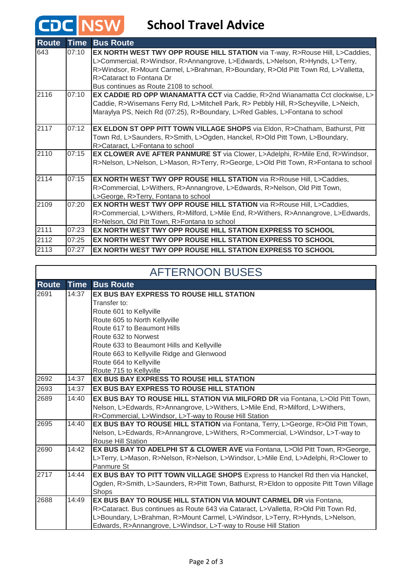# **CDC** NSW School Travel Advice

| <b>Route</b> | <b>Time</b> | <b>Bus Route</b>                                                                                                                                                                                                                                                                                                         |
|--------------|-------------|--------------------------------------------------------------------------------------------------------------------------------------------------------------------------------------------------------------------------------------------------------------------------------------------------------------------------|
| 643          | 07:10       | EX NORTH WEST TWY OPP ROUSE HILL STATION via T-way, R>Rouse Hill, L>Caddies,<br>L>Commercial, R>Windsor, R>Annangrove, L>Edwards, L>Nelson, R>Hynds, L>Terry,<br>R>Windsor, R>Mount Carmel, L>Brahman, R>Boundary, R>Old Pitt Town Rd, L>Valletta,<br>R>Cataract to Fontana Dr<br>Bus continues as Route 2108 to school. |
| 2116         | 07:10       | <b>EX CADDIE RD OPP WIANAMATTA CCT</b> via Caddie, R>2nd Wianamatta Cct clockwise, L><br>Caddie, R>Wisemans Ferry Rd, L>Mitchell Park, R> Pebbly Hill, R>Scheyville, L>Neich,<br>Maraylya PS, Neich Rd (07:25), R>Boundary, L>Red Gables, L>Fontana to school                                                            |
| 2117         | 07:12       | EX ELDON ST OPP PITT TOWN VILLAGE SHOPS via Eldon, R>Chatham, Bathurst, Pitt<br>Town Rd, L>Saunders, R>Smith, L>Ogden, Hanckel, R>Old Pitt Town, L>Boundary,<br>R>Cataract, L>Fontana to school                                                                                                                          |
| 2110         | 07:15       | <b>EX CLOWER AVE AFTER PANMURE ST via Clower, L&gt;Adelphi, R&gt;Mile End, R&gt;Windsor,</b><br>R>Nelson, L>Nelson, L>Mason, R>Terry, R>George, L>Old Pitt Town, R>Fontana to school                                                                                                                                     |
| 2114         | 07:15       | EX NORTH WEST TWY OPP ROUSE HILL STATION via R>Rouse Hill, L>Caddies,<br>R>Commercial, L>Withers, R>Annangrove, L>Edwards, R>Nelson, Old Pitt Town,<br>L>George, R>Terry, Fontana to school                                                                                                                              |
| 2109         | 07:20       | EX NORTH WEST TWY OPP ROUSE HILL STATION via R>Rouse Hill, L>Caddies,<br>R>Commercial, L>Withers, R>Milford, L>Mile End, R>Withers, R>Annangrove, L>Edwards,<br>R>Nelson, Old Pitt Town, R>Fontana to school                                                                                                             |
| 2111         | 07:23       | EX NORTH WEST TWY OPP ROUSE HILL STATION EXPRESS TO SCHOOL                                                                                                                                                                                                                                                               |
| 2112         | 07:25       | EX NORTH WEST TWY OPP ROUSE HILL STATION EXPRESS TO SCHOOL                                                                                                                                                                                                                                                               |
| 2113         | 07:27       | EX NORTH WEST TWY OPP ROUSE HILL STATION EXPRESS TO SCHOOL                                                                                                                                                                                                                                                               |

| <b>AFTERNOON BUSES</b> |             |                                                                                          |  |  |
|------------------------|-------------|------------------------------------------------------------------------------------------|--|--|
| <b>Route</b>           | <b>Time</b> | <b>Bus Route</b>                                                                         |  |  |
| 2691                   | 14:37       | EX BUS BAY EXPRESS TO ROUSE HILL STATION                                                 |  |  |
|                        |             | Transfer to:                                                                             |  |  |
|                        |             | Route 601 to Kellyville                                                                  |  |  |
|                        |             | Route 605 to North Kellyville                                                            |  |  |
|                        |             | Route 617 to Beaumont Hills                                                              |  |  |
|                        |             | Route 632 to Norwest                                                                     |  |  |
|                        |             | Route 633 to Beaumont Hills and Kellyville                                               |  |  |
|                        |             | Route 663 to Kellyville Ridge and Glenwood                                               |  |  |
|                        |             | Route 664 to Kellyville                                                                  |  |  |
|                        |             | Route 715 to Kellyville                                                                  |  |  |
| 2692                   | 14:37       | EX BUS BAY EXPRESS TO ROUSE HILL STATION                                                 |  |  |
| 2693                   | 14:37       | EX BUS BAY EXPRESS TO ROUSE HILL STATION                                                 |  |  |
| 2689                   | 14:40       | EX BUS BAY TO ROUSE HILL STATION VIA MILFORD DR via Fontana, L>Old Pitt Town,            |  |  |
|                        |             | Nelson, L>Edwards, R>Annangrove, L>Withers, L>Mile End, R>Milford, L>Withers,            |  |  |
|                        |             | R>Commercial, L>Windsor, L>T-way to Rouse Hill Station                                   |  |  |
| 2695                   | 14:40       | EX BUS BAY TO ROUSE HILL STATION via Fontana, Terry, L>George, R>Old Pitt Town,          |  |  |
|                        |             | Nelson, L>Edwards, R>Annangrove, L>Withers, R>Commercial, L>Windsor, L>T-way to          |  |  |
|                        |             | Rouse Hill Station                                                                       |  |  |
| 2690                   | 14:42       | EX BUS BAY TO ADELPHI ST & CLOWER AVE via Fontana, L>Old Pitt Town, R>George,            |  |  |
|                        |             | L>Terry, L>Mason, R>Nelson, R>Nelson, L>Windsor, L>Mile End, L>Adelphi, R>Clower to      |  |  |
|                        |             | Panmure St                                                                               |  |  |
| 2717                   | 14:44       | EX BUS BAY TO PITT TOWN VILLAGE SHOPS Express to Hanckel Rd then via Hanckel,            |  |  |
|                        |             | Ogden, R>Smith, L>Saunders, R>Pitt Town, Bathurst, R>Eldon to opposite Pitt Town Village |  |  |
|                        |             | <b>Shops</b>                                                                             |  |  |
| 2688                   | 14:49       | EX BUS BAY TO ROUSE HILL STATION VIA MOUNT CARMEL DR via Fontana.                        |  |  |
|                        |             | R>Cataract. Bus continues as Route 643 via Cataract, L>Valletta, R>Old Pitt Town Rd,     |  |  |
|                        |             | L>Boundary, L>Brahman, R>Mount Carmel, L>Windsor, L>Terry, R>Hynds, L>Nelson,            |  |  |
|                        |             | Edwards, R>Annangrove, L>Windsor, L>T-way to Rouse Hill Station                          |  |  |